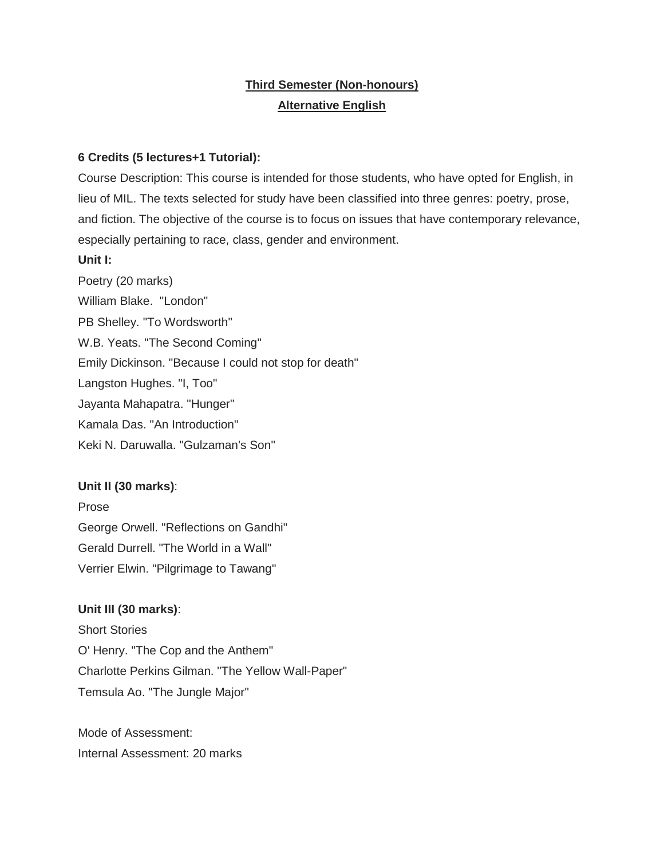# **Third Semester (Non-honours) Alternative English**

### **6 Credits (5 lectures+1 Tutorial):**

Course Description: This course is intended for those students, who have opted for English, in lieu of MIL. The texts selected for study have been classified into three genres: poetry, prose, and fiction. The objective of the course is to focus on issues that have contemporary relevance, especially pertaining to race, class, gender and environment.

#### **Unit I:**

Poetry (20 marks) William Blake. "London" PB Shelley. "To Wordsworth" W.B. Yeats. "The Second Coming" Emily Dickinson. "Because I could not stop for death" Langston Hughes. "I, Too" Jayanta Mahapatra. "Hunger" Kamala Das. "An Introduction" Keki N. Daruwalla. "Gulzaman's Son"

## **Unit II (30 marks)**:

Prose George Orwell. "Reflections on Gandhi" Gerald Durrell. "The World in a Wall" Verrier Elwin. "Pilgrimage to Tawang"

## **Unit III (30 marks)**:

Short Stories O' Henry. "The Cop and the Anthem" Charlotte Perkins Gilman. "The Yellow Wall-Paper" Temsula Ao. "The Jungle Major"

Mode of Assessment: Internal Assessment: 20 marks